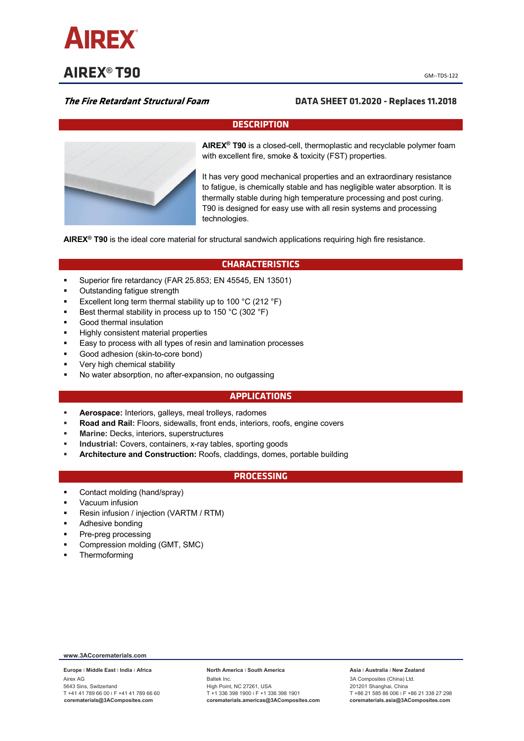

**AIREX<sup>®</sup> T90** *CM***-TDS-122</mark>** 

# **The Fire Retardant Structural Foam DATA SHEET 01.2020 - Replaces 11.2018**

# **DESCRIPTION**



**AIREX® T90** is a closed-cell, thermoplastic and recyclable polymer foam with excellent fire, smoke & toxicity (FST) properties.

It has very good mechanical properties and an extraordinary resistance to fatigue, is chemically stable and has negligible water absorption. It is thermally stable during high temperature processing and post curing. T90 is designed for easy use with all resin systems and processing technologies.

**AIREX® T90** is the ideal core material for structural sandwich applications requiring high fire resistance.

# **CHARACTERISTICS**

- § Superior fire retardancy (FAR 25.853; EN 45545, EN 13501)
- § Outstanding fatigue strength
- Excellent long term thermal stability up to 100 °C (212 °F)
- § Best thermal stability in process up to 150 °C (302 °F)
- § Good thermal insulation
- § Highly consistent material properties
- Easy to process with all types of resin and lamination processes
- § Good adhesion (skin-to-core bond)
- § Very high chemical stability
- § No water absorption, no after-expansion, no outgassing

## **APPLICATIONS**

- § **Aerospace:** Interiors, galleys, meal trolleys, radomes
- § **Road and Rail:** Floors, sidewalls, front ends, interiors, roofs, engine covers
- § **Marine:** Decks, interiors, superstructures
- § **Industrial:** Covers, containers, x-ray tables, sporting goods
- § **Architecture and Construction:** Roofs, claddings, domes, portable building

## **PROCESSING**

- Contact molding (hand/spray)
- § Vacuum infusion
- § Resin infusion / injection (VARTM / RTM)
- § Adhesive bonding
- § Pre-preg processing
- § Compression molding (GMT, SMC)
- § Thermoforming

### **www.3ACcorematerials.com**

**Europe** ׀ **Middle East** ׀ **India** ׀ **Africa** Airex AG 5643 Sins, Switzerland T +41 41 789 66 00 ׀ F +41 41 789 66 60 **corematerials@3AComposites.com**

#### **North America** ׀ **South America**

Baltek Inc. High Point, NC 27261, USA T +1 336 398 1900 ׀ F +1 336 398 1901 **corematerials.americas@3AComposites.com**

#### **Asia** ׀ **Australia** ׀ **New Zealand**

3A Composites (China) Ltd. 201201 Shanghai, China T +86 21 585 86 006 ׀ F +86 21 338 27 298 **corematerials.asia@3AComposites.com**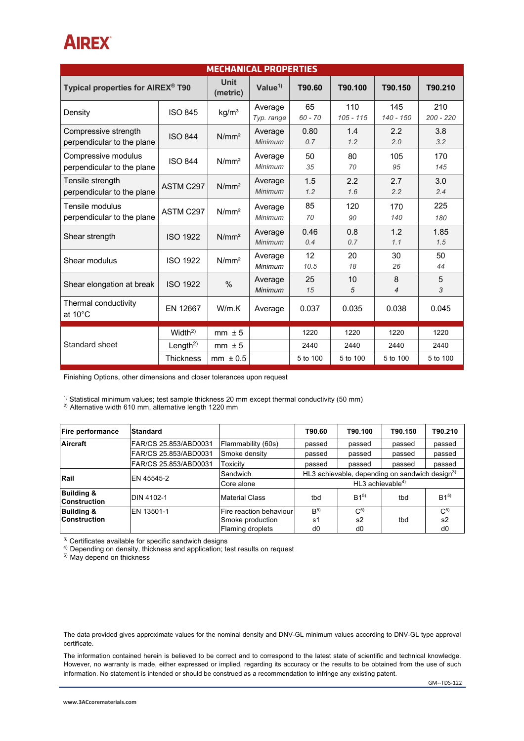# **AIREX**

| <b>MECHANICAL PROPERTIES</b>                       |                      |                         |                           |                 |                    |                    |                    |  |
|----------------------------------------------------|----------------------|-------------------------|---------------------------|-----------------|--------------------|--------------------|--------------------|--|
| Typical properties for AIREX <sup>®</sup> T90      |                      | <b>Unit</b><br>(metric) | Value $1$                 | T90.60          | T90.100            | T90.150            | T90.210            |  |
| Density                                            | <b>ISO 845</b>       | kg/m <sup>3</sup>       | Average<br>Typ. range     | 65<br>$60 - 70$ | 110<br>$105 - 115$ | 145<br>$140 - 150$ | 210<br>$200 - 220$ |  |
| Compressive strength<br>perpendicular to the plane | <b>ISO 844</b>       | N/mm <sup>2</sup>       | Average<br><b>Minimum</b> | 0.80<br>0.7     | 1.4<br>1.2         | 2.2<br>2.0         | 3.8<br>3.2         |  |
| Compressive modulus<br>perpendicular to the plane  | <b>ISO 844</b>       | N/mm <sup>2</sup>       | Average<br><b>Minimum</b> | 50<br>35        | 80<br>70           | 105<br>95          | 170<br>145         |  |
| Tensile strength<br>perpendicular to the plane     | ASTM C297            | N/mm <sup>2</sup>       | Average<br>Minimum        | 1.5<br>1.2      | 2.2<br>1.6         | 2.7<br>2.2         | 3.0<br>2.4         |  |
| Tensile modulus<br>perpendicular to the plane      | ASTM C297            | N/mm <sup>2</sup>       | Average<br>Minimum        | 85<br>70        | 120<br>90          | 170<br>140         | 225<br>180         |  |
| Shear strength                                     | <b>ISO 1922</b>      | N/mm <sup>2</sup>       | Average<br><b>Minimum</b> | 0.46<br>0.4     | 0.8<br>0.7         | 1.2<br>1.1         | 1.85<br>1.5        |  |
| Shear modulus                                      | <b>ISO 1922</b>      | N/mm <sup>2</sup>       | Average<br><b>Minimum</b> | 12<br>10.5      | 20<br>18           | 30<br>26           | 50<br>44           |  |
| Shear elongation at break                          | <b>ISO 1922</b>      | $\frac{0}{0}$           | Average<br><b>Minimum</b> | 25<br>15        | 10<br>5            | 8<br>4             | 5<br>3             |  |
| Thermal conductivity<br>at $10^{\circ}$ C          | EN 12667             | W/m.K                   | Average                   | 0.037           | 0.035              | 0.038              | 0.045              |  |
|                                                    | Width <sup>2</sup>   | $mm \pm 5$              |                           | 1220            | 1220               | 1220               | 1220               |  |
| Standard sheet                                     | Length <sup>2)</sup> | $mm \pm 5$              |                           | 2440            | 2440               | 2440               | 2440               |  |
|                                                    | <b>Thickness</b>     | $mm \pm 0.5$            |                           | 5 to 100        | 5 to 100           | 5 to 100           | 5 to 100           |  |

Finishing Options, other dimensions and closer tolerances upon request

<sup>1)</sup> Statistical minimum values; test sample thickness 20 mm except thermal conductivity (50 mm)

<sup>2)</sup> Alternative width 610 mm, alternative length 1220 mm

| <b>Fire performance</b>                      | Standard              |                         | T90.60                                                     | T90.100         | T90.150 | T90.210        |  |
|----------------------------------------------|-----------------------|-------------------------|------------------------------------------------------------|-----------------|---------|----------------|--|
| Aircraft                                     | FAR/CS 25.853/ABD0031 | Flammability (60s)      | passed                                                     | passed          | passed  | passed         |  |
|                                              | FAR/CS 25.853/ABD0031 | Smoke density           | passed                                                     | passed          | passed  | passed         |  |
|                                              | FAR/CS 25.853/ABD0031 | Toxicity                | passed                                                     | passed          | passed  | passed         |  |
| Rail                                         | EN 45545-2            | Sandwich                | HL3 achievable, depending on sandwich design <sup>3)</sup> |                 |         |                |  |
|                                              |                       | Core alone              | HL3 achievable $4$ )                                       |                 |         |                |  |
| <b>Building &amp;</b><br><b>Construction</b> | <b>DIN 4102-1</b>     | Material Class          | tbd                                                        | B1 <sup>5</sup> | tbd     | $B1^{5}$       |  |
| <b>Building &amp;</b>                        | EN 13501-1            | Fire reaction behaviour | B <sup>5</sup>                                             | $C^{5}$         |         | $C^{5}$        |  |
| <b>Construction</b>                          |                       | Smoke production        | s1                                                         | s2              | tbd     | s <sub>2</sub> |  |
|                                              |                       | Flaming droplets        | d0                                                         | d <sub>0</sub>  |         | d0             |  |

<sup>3</sup>*)* Certificates available for specific sandwich designs

<sup>4)</sup> Depending on density, thickness and application; test results on request

<sup>5)</sup> May depend on thickness

The data provided gives approximate values for the nominal density and DNV-GL minimum values according to DNV-GL type approval certificate.

The information contained herein is believed to be correct and to correspond to the latest state of scientific and technical knowledge. However, no warranty is made, either expressed or implied, regarding its accuracy or the results to be obtained from the use of such information. No statement is intended or should be construed as a recommendation to infringe any existing patent.